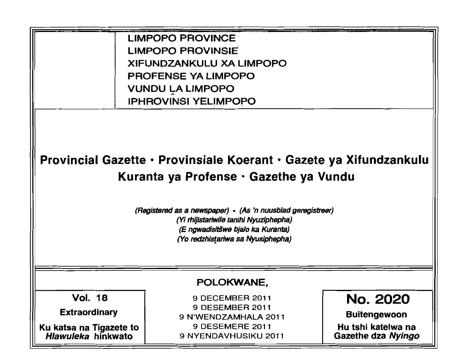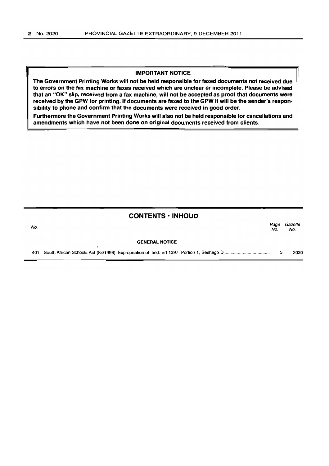### IMPORTANT NOTICE

The Government Printing Works will not be held responsible for faxed documents not received due to errors on the fax machine or faxes received which are unclear or incomplete. Please be advised that an "OK" slip, received from a fax machine, will not be accepted as proof that documents were received by the GPW for printing. If documents are faxed to the GPW it will be the sender's responsibility to phone and confirm that the documents were received in good order.

Furthermore the Government Printing Works will also not be held responsible for cancellations and amendments which have not been done on original documents received from clients.

## **CONTENTS· INHOUD**

| No. |                       | Page<br>No. | Gazette<br>No. |
|-----|-----------------------|-------------|----------------|
|     | <b>GENERAL NOTICE</b> |             |                |
| 401 |                       |             | 2020           |